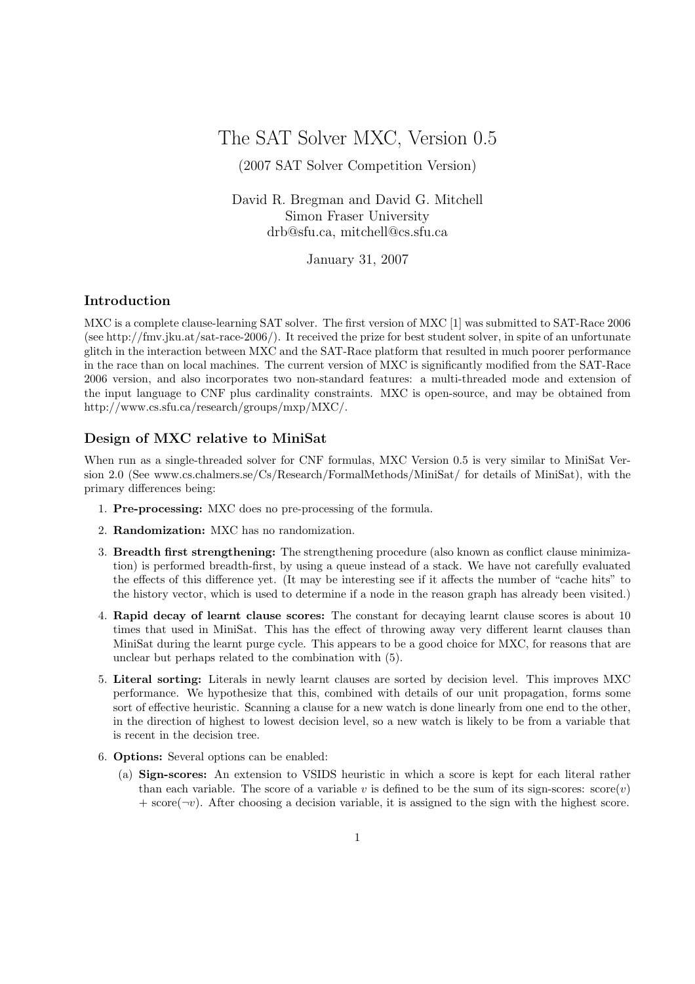The SAT Solver MXC, Version 0.5

(2007 SAT Solver Competition Version)

David R. Bregman and David G. Mitchell Simon Fraser University drb@sfu.ca, mitchell@cs.sfu.ca

January 31, 2007

## Introduction

MXC is a complete clause-learning SAT solver. The first version of MXC [1] was submitted to SAT-Race 2006 (see http://fmv.jku.at/sat-race-2006/). It received the prize for best student solver, in spite of an unfortunate glitch in the interaction between MXC and the SAT-Race platform that resulted in much poorer performance in the race than on local machines. The current version of MXC is significantly modified from the SAT-Race 2006 version, and also incorporates two non-standard features: a multi-threaded mode and extension of the input language to CNF plus cardinality constraints. MXC is open-source, and may be obtained from http://www.cs.sfu.ca/research/groups/mxp/MXC/.

## Design of MXC relative to MiniSat

When run as a single-threaded solver for CNF formulas, MXC Version 0.5 is very similar to MiniSat Version 2.0 (See www.cs.chalmers.se/Cs/Research/FormalMethods/MiniSat/ for details of MiniSat), with the primary differences being:

- 1. Pre-processing: MXC does no pre-processing of the formula.
- 2. Randomization: MXC has no randomization.
- 3. Breadth first strengthening: The strengthening procedure (also known as conflict clause minimization) is performed breadth-first, by using a queue instead of a stack. We have not carefully evaluated the effects of this difference yet. (It may be interesting see if it affects the number of "cache hits" to the history vector, which is used to determine if a node in the reason graph has already been visited.)
- 4. Rapid decay of learnt clause scores: The constant for decaying learnt clause scores is about 10 times that used in MiniSat. This has the effect of throwing away very different learnt clauses than MiniSat during the learnt purge cycle. This appears to be a good choice for MXC, for reasons that are unclear but perhaps related to the combination with (5).
- 5. Literal sorting: Literals in newly learnt clauses are sorted by decision level. This improves MXC performance. We hypothesize that this, combined with details of our unit propagation, forms some sort of effective heuristic. Scanning a clause for a new watch is done linearly from one end to the other, in the direction of highest to lowest decision level, so a new watch is likely to be from a variable that is recent in the decision tree.
- 6. Options: Several options can be enabled:
	- (a) Sign-scores: An extension to VSIDS heuristic in which a score is kept for each literal rather than each variable. The score of a variable v is defined to be the sum of its sign-scores:  $score(v)$  $+$  score( $\neg v$ ). After choosing a decision variable, it is assigned to the sign with the highest score.